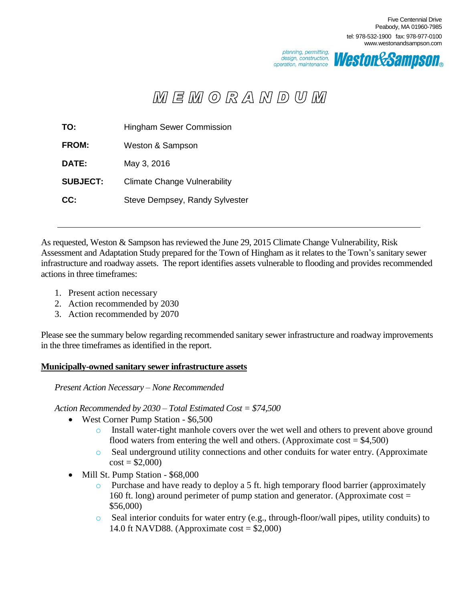

*Westor&Sampson。* 

# $M \in M$  (0 R A N D U M

| TO:             | <b>Hingham Sewer Commission</b>     |
|-----------------|-------------------------------------|
| <b>FROM:</b>    | Weston & Sampson                    |
| DATE:           | May 3, 2016                         |
| <b>SUBJECT:</b> | <b>Climate Change Vulnerability</b> |
| CC:             | Steve Dempsey, Randy Sylvester      |

As requested, Weston & Sampson has reviewed the June 29, 2015 Climate Change Vulnerability, Risk Assessment and Adaptation Study prepared for the Town of Hingham as it relates to the Town's sanitary sewer infrastructure and roadway assets. The report identifies assets vulnerable to flooding and provides recommended actions in three timeframes:

- 1. Present action necessary
- 2. Action recommended by 2030
- 3. Action recommended by 2070

Please see the summary below regarding recommended sanitary sewer infrastructure and roadway improvements in the three timeframes as identified in the report.

# **Municipally-owned sanitary sewer infrastructure assets**

*Present Action Necessary – None Recommended*

*Action Recommended by 2030 – Total Estimated Cost = \$74,500*

- West Corner Pump Station \$6,500
	- o Install water-tight manhole covers over the wet well and others to prevent above ground flood waters from entering the well and others. (Approximate  $cost = $4,500$ )
	- o Seal underground utility connections and other conduits for water entry. (Approximate  $cost = $2,000$
- Mill St. Pump Station \$68,000
	- $\circ$  Purchase and have ready to deploy a 5 ft. high temporary flood barrier (approximately 160 ft. long) around perimeter of pump station and generator. (Approximate cost = \$56,000)
	- o Seal interior conduits for water entry (e.g., through-floor/wall pipes, utility conduits) to 14.0 ft NAVD88. (Approximate cost  $=$  \$2,000)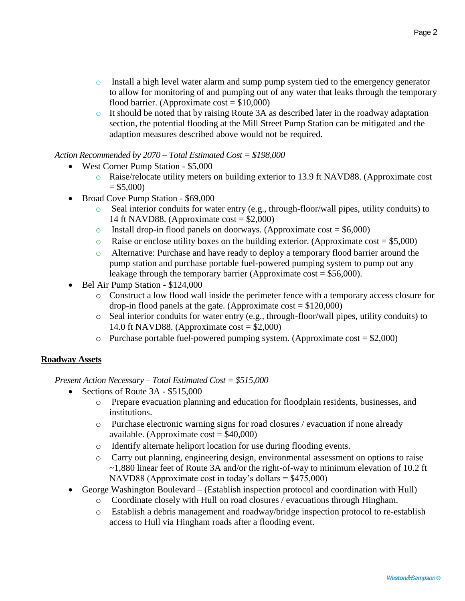- $\circ$  Install a high level water alarm and sump pump system tied to the emergency generator to allow for monitoring of and pumping out of any water that leaks through the temporary flood barrier. (Approximate  $cost = $10,000$ )
- o It should be noted that by raising Route 3A as described later in the roadway adaptation section, the potential flooding at the Mill Street Pump Station can be mitigated and the adaption measures described above would not be required.

## *Action Recommended by 2070 – Total Estimated Cost = \$198,000*

- West Corner Pump Station \$5,000
	- o Raise/relocate utility meters on building exterior to 13.9 ft NAVD88. (Approximate cost  $= $5,000$
- Broad Cove Pump Station \$69,000
	- o Seal interior conduits for water entry (e.g., through-floor/wall pipes, utility conduits) to 14 ft NAVD88. (Approximate cost  $= $2,000$ )
	- $\circ$  Install drop-in flood panels on doorways. (Approximate cost = \$6,000)
	- $\circ$  Raise or enclose utility boxes on the building exterior. (Approximate cost = \$5,000)
	- o Alternative: Purchase and have ready to deploy a temporary flood barrier around the pump station and purchase portable fuel-powered pumping system to pump out any leakage through the temporary barrier (Approximate cost  $= $56,000$ ).
- Bel Air Pump Station \$124,000
	- o Construct a low flood wall inside the perimeter fence with a temporary access closure for drop-in flood panels at the gate. (Approximate  $cost = $120,000$ )
	- o Seal interior conduits for water entry (e.g., through-floor/wall pipes, utility conduits) to 14.0 ft NAVD88. (Approximate cost  $= $2,000$ )
	- $\circ$  Purchase portable fuel-powered pumping system. (Approximate cost = \$2,000)

## **Roadway Assets**

*Present Action Necessary – Total Estimated Cost = \$515,000*

- Sections of Route  $3A $515,000$ 
	- o Prepare evacuation planning and education for floodplain residents, businesses, and institutions.
	- o Purchase electronic warning signs for road closures / evacuation if none already available. (Approximate  $cost = $40,000$ )
	- o Identify alternate heliport location for use during flooding events.
	- o Carry out planning, engineering design, environmental assessment on options to raise ~1,880 linear feet of Route 3A and/or the right-of-way to minimum elevation of 10.2 ft NAVD88 (Approximate cost in today's dollars = \$475,000)
- George Washington Boulevard (Establish inspection protocol and coordination with Hull)
	- o Coordinate closely with Hull on road closures / evacuations through Hingham.
	- o Establish a debris management and roadway/bridge inspection protocol to re-establish access to Hull via Hingham roads after a flooding event.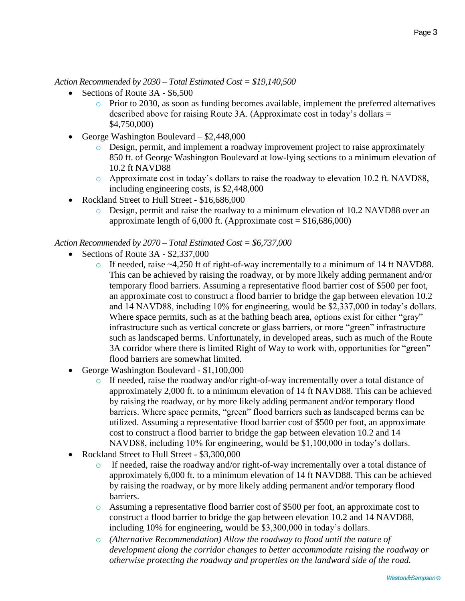*Action Recommended by 2030 – Total Estimated Cost = \$19,140,500*

- Sections of Route 3A \$6,500
	- $\circ$  Prior to 2030, as soon as funding becomes available, implement the preferred alternatives described above for raising Route 3A. (Approximate cost in today's dollars = \$4,750,000)
- George Washington Boulevard \$2,448,000
	- o Design, permit, and implement a roadway improvement project to raise approximately 850 ft. of George Washington Boulevard at low-lying sections to a minimum elevation of 10.2 ft NAVD88
	- $\circ$  Approximate cost in today's dollars to raise the roadway to elevation 10.2 ft. NAVD88, including engineering costs, is \$2,448,000
- Rockland Street to Hull Street \$16,686,000
	- o Design, permit and raise the roadway to a minimum elevation of 10.2 NAVD88 over an approximate length of  $6,000$  ft. (Approximate cost =  $$16,686,000$ )

### *Action Recommended by 2070 – Total Estimated Cost = \$6,737,000*

- Sections of Route  $3A $2,337,000$ 
	- $\circ$  If needed, raise ~4,250 ft of right-of-way incrementally to a minimum of 14 ft NAVD88. This can be achieved by raising the roadway, or by more likely adding permanent and/or temporary flood barriers. Assuming a representative flood barrier cost of \$500 per foot, an approximate cost to construct a flood barrier to bridge the gap between elevation 10.2 and 14 NAVD88, including 10% for engineering, would be \$2,337,000 in today's dollars. Where space permits, such as at the bathing beach area, options exist for either "gray" infrastructure such as vertical concrete or glass barriers, or more "green" infrastructure such as landscaped berms. Unfortunately, in developed areas, such as much of the Route 3A corridor where there is limited Right of Way to work with, opportunities for "green" flood barriers are somewhat limited.
- George Washington Boulevard \$1,100,000
	- $\circ$  If needed, raise the roadway and/or right-of-way incrementally over a total distance of approximately 2,000 ft. to a minimum elevation of 14 ft NAVD88. This can be achieved by raising the roadway, or by more likely adding permanent and/or temporary flood barriers. Where space permits, "green" flood barriers such as landscaped berms can be utilized. Assuming a representative flood barrier cost of \$500 per foot, an approximate cost to construct a flood barrier to bridge the gap between elevation 10.2 and 14 NAVD88, including 10% for engineering, would be \$1,100,000 in today's dollars.
- Rockland Street to Hull Street \$3,300,000
	- $\circ$  If needed, raise the roadway and/or right-of-way incrementally over a total distance of approximately 6,000 ft. to a minimum elevation of 14 ft NAVD88. This can be achieved by raising the roadway, or by more likely adding permanent and/or temporary flood barriers.
	- o Assuming a representative flood barrier cost of \$500 per foot, an approximate cost to construct a flood barrier to bridge the gap between elevation 10.2 and 14 NAVD88, including 10% for engineering, would be \$3,300,000 in today's dollars.
	- o *(Alternative Recommendation) Allow the roadway to flood until the nature of development along the corridor changes to better accommodate raising the roadway or otherwise protecting the roadway and properties on the landward side of the road.*